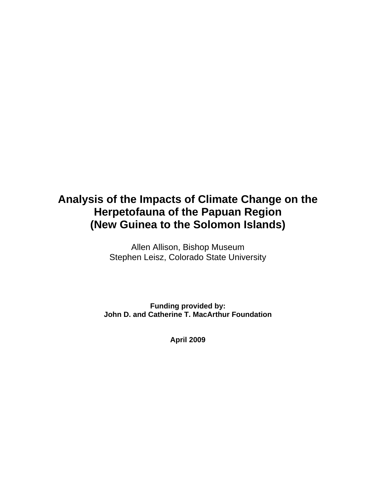# **Analysis of the Impacts of Climate Change on the Herpetofauna of the Papuan Region (New Guinea to the Solomon Islands)**

Allen Allison, Bishop Museum Stephen Leisz, Colorado State University

**Funding provided by: John D. and Catherine T. MacArthur Foundation** 

**April 2009**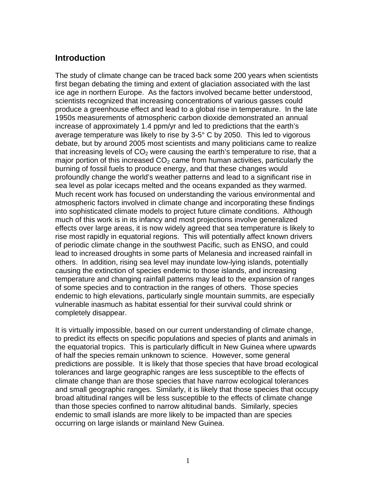#### **Introduction**

The study of climate change can be traced back some 200 years when scientists first began debating the timing and extent of glaciation associated with the last ice age in northern Europe. As the factors involved became better understood, scientists recognized that increasing concentrations of various gasses could produce a greenhouse effect and lead to a global rise in temperature. In the late 1950s measurements of atmospheric carbon dioxide demonstrated an annual increase of approximately 1.4 ppm/yr and led to predictions that the earth's average temperature was likely to rise by 3-5° C by 2050. This led to vigorous debate, but by around 2005 most scientists and many politicians came to realize that increasing levels of  $CO<sub>2</sub>$  were causing the earth's temperature to rise, that a major portion of this increased  $CO<sub>2</sub>$  came from human activities, particularly the burning of fossil fuels to produce energy, and that these changes would profoundly change the world's weather patterns and lead to a significant rise in sea level as polar icecaps melted and the oceans expanded as they warmed. Much recent work has focused on understanding the various environmental and atmospheric factors involved in climate change and incorporating these findings into sophisticated climate models to project future climate conditions. Although much of this work is in its infancy and most projections involve generalized effects over large areas, it is now widely agreed that sea temperature is likely to rise most rapidly in equatorial regions. This will potentially affect known drivers of periodic climate change in the southwest Pacific, such as ENSO, and could lead to increased droughts in some parts of Melanesia and increased rainfall in others. In addition, rising sea level may inundate low-lying islands, potentially causing the extinction of species endemic to those islands, and increasing temperature and changing rainfall patterns may lead to the expansion of ranges of some species and to contraction in the ranges of others. Those species endemic to high elevations, particularly single mountain summits, are especially vulnerable inasmuch as habitat essential for their survival could shrink or completely disappear.

It is virtually impossible, based on our current understanding of climate change, to predict its effects on specific populations and species of plants and animals in the equatorial tropics. This is particularly difficult in New Guinea where upwards of half the species remain unknown to science. However, some general predictions are possible. It is likely that those species that have broad ecological tolerances and large geographic ranges are less susceptible to the effects of climate change than are those species that have narrow ecological tolerances and small geographic ranges. Similarly, it is likely that those species that occupy broad altitudinal ranges will be less susceptible to the effects of climate change than those species confined to narrow altitudinal bands. Similarly, species endemic to small islands are more likely to be impacted than are species occurring on large islands or mainland New Guinea.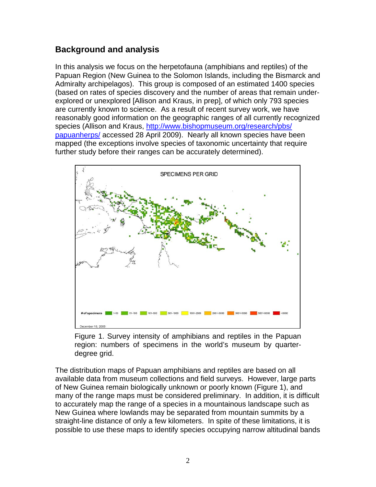## **Background and analysis**

In this analysis we focus on the herpetofauna (amphibians and reptiles) of the Papuan Region (New Guinea to the Solomon Islands, including the Bismarck and Admiralty archipelagos). This group is composed of an estimated 1400 species (based on rates of species discovery and the number of areas that remain underexplored or unexplored [Allison and Kraus, in prep], of which only 793 species are currently known to science. As a result of recent survey work, we have reasonably good information on the geographic ranges of all currently recognized species (Allison and Kraus, [http://www.bishopmuseum.org/research/pbs/](http://www.bishopmuseum.org/research/pbs/ papuanherps/)  [papuanherps/](http://www.bishopmuseum.org/research/pbs/ papuanherps/) accessed 28 April 2009). Nearly all known species have been mapped (the exceptions involve species of taxonomic uncertainty that require further study before their ranges can be accurately determined).



Figure 1. Survey intensity of amphibians and reptiles in the Papuan region: numbers of specimens in the world's museum by quarterdegree grid.

The distribution maps of Papuan amphibians and reptiles are based on all available data from museum collections and field surveys. However, large parts of New Guinea remain biologically unknown or poorly known (Figure 1), and many of the range maps must be considered preliminary. In addition, it is difficult to accurately map the range of a species in a mountainous landscape such as New Guinea where lowlands may be separated from mountain summits by a straight-line distance of only a few kilometers. In spite of these limitations, it is possible to use these maps to identify species occupying narrow altitudinal bands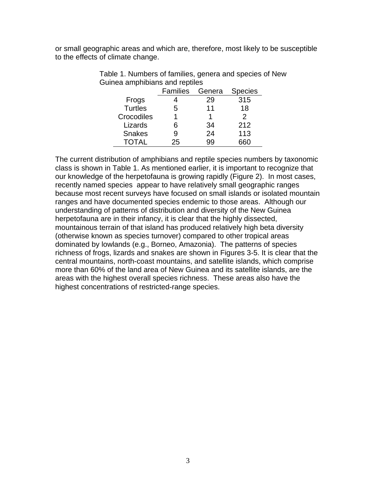or small geographic areas and which are, therefore, most likely to be susceptible to the effects of climate change.

|                | <b>Families</b> | Genera | <b>Species</b> |
|----------------|-----------------|--------|----------------|
| Frogs          |                 | 29     | 315            |
| <b>Turtles</b> | 5               | 11     | 18             |
| Crocodiles     |                 |        | $\mathcal{P}$  |
| Lizards        | 6               | 34     | 212            |
| <b>Snakes</b>  | 9               | 24     | 113            |
|                | 25              | aa     |                |

Table 1. Numbers of families, genera and species of New Guinea amphibians and reptiles

The current distribution of amphibians and reptile species numbers by taxonomic class is shown in Table 1. As mentioned earlier, it is important to recognize that our knowledge of the herpetofauna is growing rapidly (Figure 2). In most cases, recently named species appear to have relatively small geographic ranges because most recent surveys have focused on small islands or isolated mountain ranges and have documented species endemic to those areas. Although our understanding of patterns of distribution and diversity of the New Guinea herpetofauna are in their infancy, it is clear that the highly dissected, mountainous terrain of that island has produced relatively high beta diversity (otherwise known as species turnover) compared to other tropical areas dominated by lowlands (e.g., Borneo, Amazonia). The patterns of species richness of frogs, lizards and snakes are shown in Figures 3-5. It is clear that the central mountains, north-coast mountains, and satellite islands, which comprise more than 60% of the land area of New Guinea and its satellite islands, are the areas with the highest overall species richness. These areas also have the highest concentrations of restricted-range species.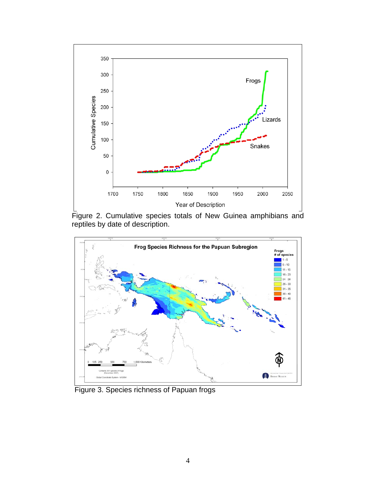

Figure 2. Cumulative species totals of New Guinea amphibians and reptiles by date of description.



Figure 3. Species richness of Papuan frogs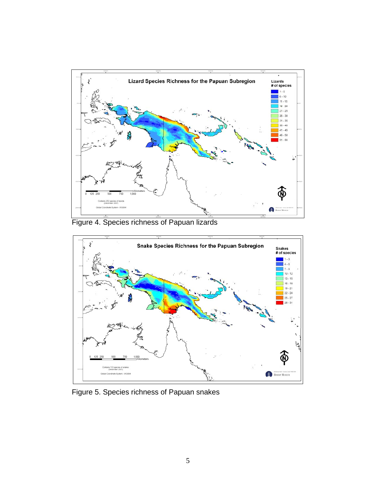

Figure 4. Species richness of Papuan lizards



Figure 5. Species richness of Papuan snakes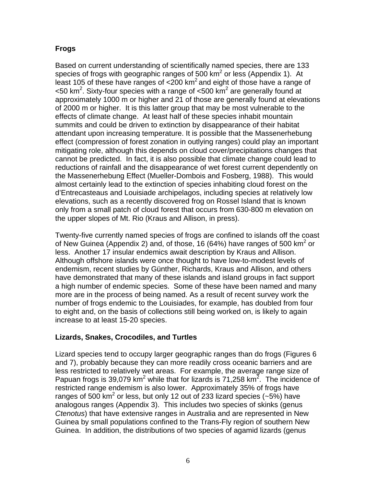#### **Frogs**

Based on current understanding of scientifically named species, there are 133 species of frogs with geographic ranges of 500  $km^2$  or less (Appendix 1). At least 105 of these have ranges of  $\langle 200 \text{ km}^2 \rangle$  and eight of those have a range of  $<$  50 km<sup>2</sup>. Sixty-four species with a range of  $<$  500 km<sup>2</sup> are generally found at approximately 1000 m or higher and 21 of those are generally found at elevations of 2000 m or higher. It is this latter group that may be most vulnerable to the effects of climate change. At least half of these species inhabit mountain summits and could be driven to extinction by disappearance of their habitat attendant upon increasing temperature. It is possible that the Massenerhebung effect (compression of forest zonation in outlying ranges) could play an important mitigating role, although this depends on cloud cover/precipitations changes that cannot be predicted. In fact, it is also possible that climate change could lead to reductions of rainfall and the disappearance of wet forest current dependently on the Massenerhebung Effect (Mueller-Dombois and Fosberg, 1988). This would almost certainly lead to the extinction of species inhabiting cloud forest on the d'Entrecasteaus and Louisiade archipelagos, including species at relatively low elevations, such as a recently discovered frog on Rossel Island that is known only from a small patch of cloud forest that occurs from 630-800 m elevation on the upper slopes of Mt. Rio (Kraus and Allison, in press).

Twenty-five currently named species of frogs are confined to islands off the coast of New Guinea (Appendix 2) and, of those, 16 (64%) have ranges of 500 km<sup>2</sup> or less. Another 17 insular endemics await description by Kraus and Allison. Although offshore islands were once thought to have low-to-modest levels of endemism, recent studies by Günther, Richards, Kraus and Allison, and others have demonstrated that many of these islands and island groups in fact support a high number of endemic species. Some of these have been named and many more are in the process of being named. As a result of recent survey work the number of frogs endemic to the Louisiades, for example, has doubled from four to eight and, on the basis of collections still being worked on, is likely to again increase to at least 15-20 species.

#### **Lizards, Snakes, Crocodiles, and Turtles**

Lizard species tend to occupy larger geographic ranges than do frogs (Figures 6 and 7), probably because they can more readily cross oceanic barriers and are less restricted to relatively wet areas. For example, the average range size of Papuan frogs is 39,079 km<sup>2</sup> while that for lizards is 71,258 km<sup>2</sup>. The incidence of restricted range endemism is also lower. Approximately 35% of frogs have ranges of 500 km<sup>2</sup> or less, but only 12 out of 233 lizard species (~5%) have analogous ranges (Appendix 3). This includes two species of skinks (genus *Ctenotus*) that have extensive ranges in Australia and are represented in New Guinea by small populations confined to the Trans-Fly region of southern New Guinea. In addition, the distributions of two species of agamid lizards (genus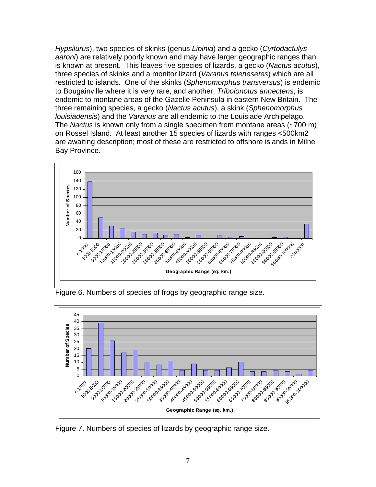*Hypsilurus*), two species of skinks (genus *Lipinia*) and a gecko (*Cyrtodactulys aaroni*) are relatively poorly known and may have larger geographic ranges than is known at present. This leaves five species of lizards, a gecko (*Nactus acutus*), three species of skinks and a monitor lizard (*Varanus telenesetes*) which are all restricted to islands. One of the skinks (*Sphenomorphus transversus*) is endemic to Bougainville where it is very rare, and another, *Tribolonotus annectens*, is endemic to montane areas of the Gazelle Peninsula in eastern New Britain. The three remaining species, a gecko (*Nactus acutus*), a skink (*Sphenomorphus louisiadensis*) and the *Varanus* are all endemic to the Louisiade Archipelago. The *Nactus* is known only from a single specimen from montane areas (~700 m) on Rossel Island. At least another 15 species of lizards with ranges <500km2 are awaiting description; most of these are restricted to offshore islands in Milne Bay Province.



Figure 6. Numbers of species of frogs by geographic range size.



Figure 7. Numbers of species of lizards by geographic range size.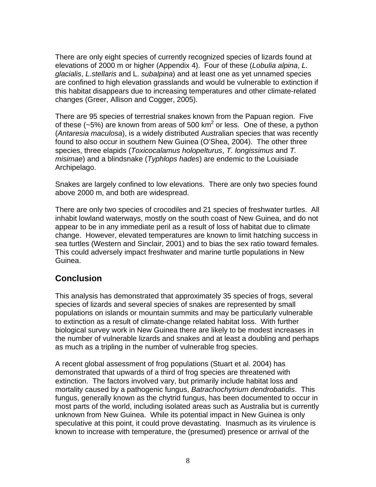There are only eight species of currently recognized species of lizards found at elevations of 2000 m or higher (Appendix 4). Four of these (*Lobulia alpina*, *L. glacialis*, *L.stellaris* and L. *subalpina*) and at least one as yet unnamed species are confined to high elevation grasslands and would be vulnerable to extinction if this habitat disappears due to increasing temperatures and other climate-related changes (Greer, Allison and Cogger, 2005).

There are 95 species of terrestrial snakes known from the Papuan region. Five of these (~5%) are known from areas of 500 km<sup>2</sup> or less. One of these, a python (*Antaresia maculosa*), is a widely distributed Australian species that was recently found to also occur in southern New Guinea (O'Shea, 2004). The other three species, three elapids (*Toxicocalamus holopelturus*, *T. longissimus* and *T. misimae*) and a blindsnake (*Typhlops hades*) are endemic to the Louisiade Archipelago.

Snakes are largely confined to low elevations. There are only two species found above 2000 m, and both are widespread.

There are only two species of crocodiles and 21 species of freshwater turtles. All inhabit lowland waterways, mostly on the south coast of New Guinea, and do not appear to be in any immediate peril as a result of loss of habitat due to climate change. However, elevated temperatures are known to limit hatching success in sea turtles (Western and Sinclair, 2001) and to bias the sex ratio toward females. This could adversely impact freshwater and marine turtle populations in New Guinea.

### **Conclusion**

This analysis has demonstrated that approximately 35 species of frogs, several species of lizards and several species of snakes are represented by small populations on islands or mountain summits and may be particularly vulnerable to extinction as a result of climate-change related habitat loss. With further biological survey work in New Guinea there are likely to be modest increases in the number of vulnerable lizards and snakes and at least a doubling and perhaps as much as a tripling in the number of vulnerable frog species.

A recent global assessment of frog populations (Stuart et al. 2004) has demonstrated that upwards of a third of frog species are threatened with extinction. The factors involved vary, but primarily include habitat loss and mortality caused by a pathogenic fungus, *Batrachochytrium dendrobatidis*. This fungus, generally known as the chytrid fungus, has been documented to occur in most parts of the world, including isolated areas such as Australia but is currently unknown from New Guinea. While its potential impact in New Guinea is only speculative at this point, it could prove devastating. Inasmuch as its virulence is known to increase with temperature, the (presumed) presence or arrival of the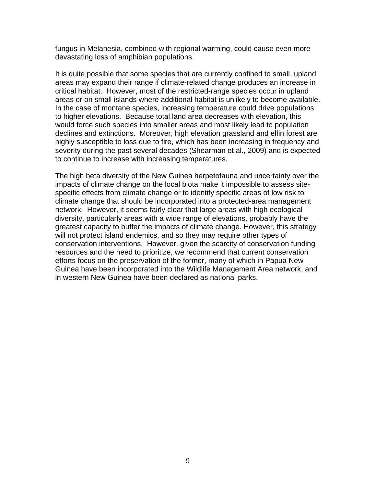fungus in Melanesia, combined with regional warming, could cause even more devastating loss of amphibian populations.

It is quite possible that some species that are currently confined to small, upland areas may expand their range if climate-related change produces an increase in critical habitat. However, most of the restricted-range species occur in upland areas or on small islands where additional habitat is unlikely to become available. In the case of montane species, increasing temperature could drive populations to higher elevations. Because total land area decreases with elevation, this would force such species into smaller areas and most likely lead to population declines and extinctions. Moreover, high elevation grassland and elfin forest are highly susceptible to loss due to fire, which has been increasing in frequency and severity during the past several decades (Shearman et al., 2009) and is expected to continue to increase with increasing temperatures.

The high beta diversity of the New Guinea herpetofauna and uncertainty over the impacts of climate change on the local biota make it impossible to assess sitespecific effects from climate change or to identify specific areas of low risk to climate change that should be incorporated into a protected-area management network. However, it seems fairly clear that large areas with high ecological diversity, particularly areas with a wide range of elevations, probably have the greatest capacity to buffer the impacts of climate change. However, this strategy will not protect island endemics, and so they may require other types of conservation interventions. However, given the scarcity of conservation funding resources and the need to prioritize, we recommend that current conservation efforts focus on the preservation of the former, many of which in Papua New Guinea have been incorporated into the Wildlife Management Area network, and in western New Guinea have been declared as national parks.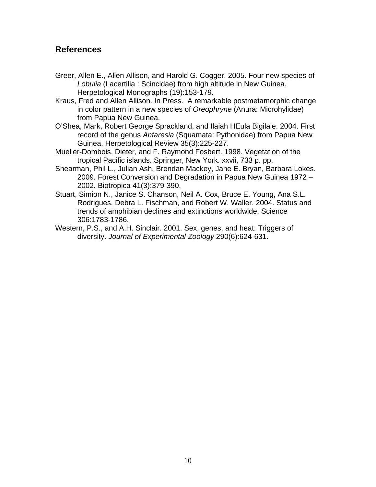#### **References**

- Greer, Allen E., Allen Allison, and Harold G. Cogger. 2005. Four new species of *Lobulia* (Lacertilia : Scincidae) from high altitude in New Guinea. Herpetological Monographs (19):153-179.
- Kraus, Fred and Allen Allison. In Press. A remarkable postmetamorphic change in color pattern in a new species of *Oreophryne* (Anura: Microhylidae) from Papua New Guinea.
- O'Shea, Mark, Robert George Sprackland, and Ilaiah HEula Bigilale. 2004. First record of the genus *Antaresia* (Squamata: Pythonidae) from Papua New Guinea. Herpetological Review 35(3):225-227.
- Mueller-Dombois, Dieter, and F. Raymond Fosbert. 1998. Vegetation of the tropical Pacific islands. Springer, New York. xxvii, 733 p. pp.
- Shearman, Phil L., Julian Ash, Brendan Mackey, Jane E. Bryan, Barbara Lokes. 2009. Forest Conversion and Degradation in Papua New Guinea 1972 – 2002. Biotropica 41(3):379-390.
- Stuart, Simion N., Janice S. Chanson, Neil A. Cox, Bruce E. Young, Ana S.L. Rodrigues, Debra L. Fischman, and Robert W. Waller. 2004. Status and trends of amphibian declines and extinctions worldwide. Science 306:1783-1786.
- Western, P.S., and A.H. Sinclair. 2001. Sex, genes, and heat: Triggers of diversity. *Journal of Experimental Zoology* 290(6):624-631.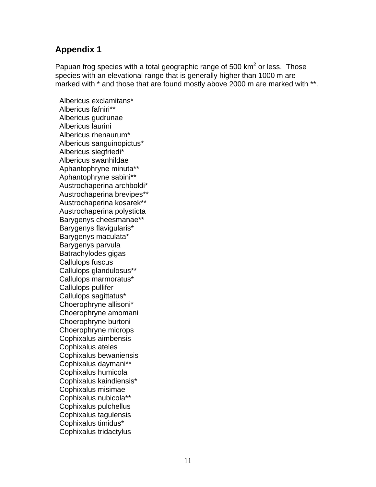Papuan frog species with a total geographic range of 500  $km^2$  or less. Those species with an elevational range that is generally higher than 1000 m are marked with  $*$  and those that are found mostly above 2000 m are marked with  $**$ .

 Albericus exclamitans\* Albericus fafniri\*\* Albericus gudrunae Albericus laurini Albericus rhenaurum\* Albericus sanguinopictus\* Albericus siegfriedi\* Albericus swanhildae Aphantophryne minuta\*\* Aphantophryne sabini\*\* Austrochaperina archboldi\* Austrochaperina brevipes\*\* Austrochaperina kosarek\*\* Austrochaperina polysticta Barygenys cheesmanae\*\* Barygenys flavigularis\* Barygenys maculata\* Barygenys parvula Batrachylodes gigas Callulops fuscus Callulops glandulosus\*\* Callulops marmoratus\* Callulops pullifer Callulops sagittatus\* Choerophryne allisoni\* Choerophryne amomani Choerophryne burtoni Choerophryne microps Cophixalus aimbensis Cophixalus ateles Cophixalus bewaniensis Cophixalus daymani\*\* Cophixalus humicola Cophixalus kaindiensis\* Cophixalus misimae Cophixalus nubicola\*\* Cophixalus pulchellus Cophixalus tagulensis Cophixalus timidus\* Cophixalus tridactylus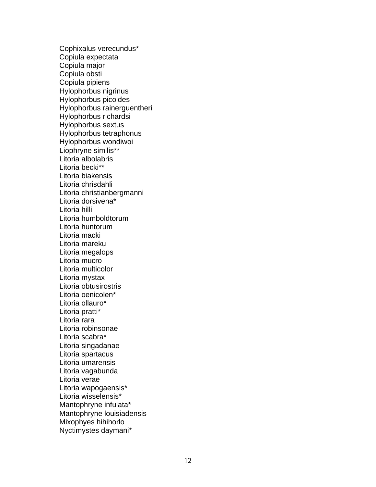Cophixalus verecundus\* Copiula expectata Copiula major Copiula obsti Copiula pipiens Hylophorbus nigrinus Hylophorbus picoides Hylophorbus rainerguentheri Hylophorbus richardsi Hylophorbus sextus Hylophorbus tetraphonus Hylophorbus wondiwoi Liophryne similis\*\* Litoria albolabris Litoria becki\*\* Litoria biakensis Litoria chrisdahli Litoria christianbergmanni Litoria dorsivena\* Litoria hilli Litoria humboldtorum Litoria huntorum Litoria macki Litoria mareku Litoria megalops Litoria mucro Litoria multicolor Litoria mystax Litoria obtusirostris Litoria oenicolen\* Litoria ollauro\* Litoria pratti\* Litoria rara Litoria robinsonae Litoria scabra\* Litoria singadanae Litoria spartacus Litoria umarensis Litoria vagabunda Litoria verae Litoria wapogaensis\* Litoria wisselensis\* Mantophryne infulata\* Mantophryne louisiadensis Mixophyes hihihorlo Nyctimystes daymani\*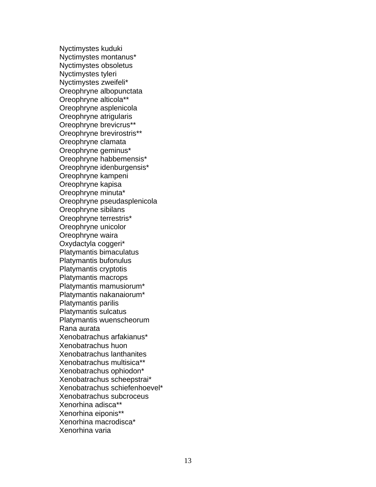Nyctimystes kuduki Nyctimystes montanus\* Nyctimystes obsoletus Nyctimystes tyleri Nyctimystes zweifeli\* Oreophryne albopunctata Oreophryne alticola\*\* Oreophryne asplenicola Oreophryne atrigularis Oreophryne brevicrus\*\* Oreophryne brevirostris\*\* Oreophryne clamata Oreophryne geminus\* Oreophryne habbemensis\* Oreophryne idenburgensis\* Oreophryne kampeni Oreophryne kapisa Oreophryne minuta\* Oreophryne pseudasplenicola Oreophryne sibilans Oreophryne terrestris\* Oreophryne unicolor Oreophryne waira Oxydactyla coggeri\* Platymantis bimaculatus Platymantis bufonulus Platymantis cryptotis Platymantis macrops Platymantis mamusiorum\* Platymantis nakanaiorum\* Platymantis parilis Platymantis sulcatus Platymantis wuenscheorum Rana aurata Xenobatrachus arfakianus\* Xenobatrachus huon Xenobatrachus lanthanites Xenobatrachus multisica\*\* Xenobatrachus ophiodon\* Xenobatrachus scheepstrai\* Xenobatrachus schiefenhoevel\* Xenobatrachus subcroceus Xenorhina adisca\*\* Xenorhina eiponis\*\* Xenorhina macrodisca\* Xenorhina varia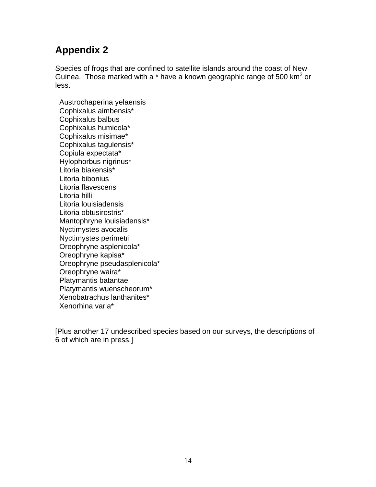Species of frogs that are confined to satellite islands around the coast of New Guinea. Those marked with a  $*$  have a known geographic range of 500 km<sup>2</sup> or less.

 Austrochaperina yelaensis Cophixalus aimbensis\* Cophixalus balbus Cophixalus humicola\* Cophixalus misimae\* Cophixalus tagulensis\* Copiula expectata\* Hylophorbus nigrinus\* Litoria biakensis\* Litoria bibonius Litoria flavescens Litoria hilli Litoria louisiadensis Litoria obtusirostris\* Mantophryne louisiadensis\* Nyctimystes avocalis Nyctimystes perimetri Oreophryne asplenicola\* Oreophryne kapisa\* Oreophryne pseudasplenicola\* Oreophryne waira\* Platymantis batantae Platymantis wuenscheorum\* Xenobatrachus lanthanites\* Xenorhina varia\*

[Plus another 17 undescribed species based on our surveys, the descriptions of 6 of which are in press.]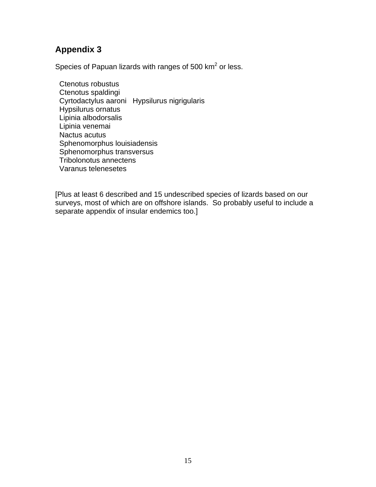Species of Papuan lizards with ranges of 500  $km^2$  or less.

 Ctenotus robustus Ctenotus spaldingi Cyrtodactylus aaroni Hypsilurus nigrigularis Hypsilurus ornatus Lipinia albodorsalis Lipinia venemai Nactus acutus Sphenomorphus louisiadensis Sphenomorphus transversus Tribolonotus annectens Varanus telenesetes

[Plus at least 6 described and 15 undescribed species of lizards based on our surveys, most of which are on offshore islands. So probably useful to include a separate appendix of insular endemics too.]